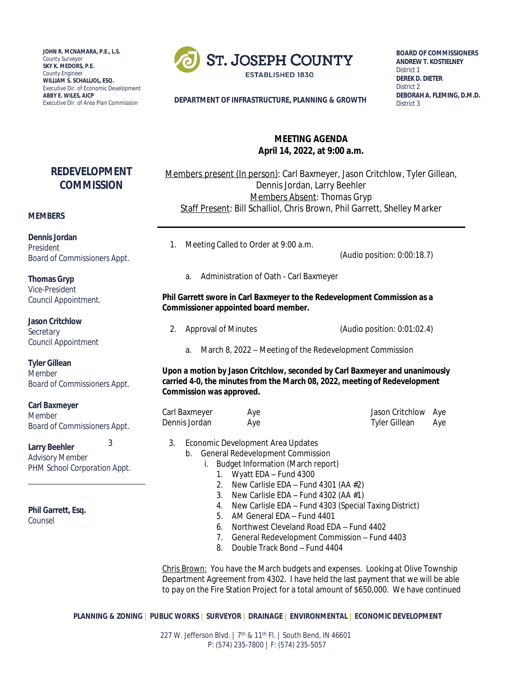**JOHN R. MCNAMARA, P.E., L.S.** *County Surveyor* **SKY K. MEDORS, P.E.** *County Engineer* **WILLIAM S. SCHALLIOL, ESQ.** *Executive Dir. of Economic Development* **ABBY E. WILES, AICP**



**BOARD OF COMMISSIONERS ANDREW T. KOSTIELNEY** *District 1* **DEREK D. DIETER** *District 2* **DEBORAH A. FLEMING, D.M.D.** *District 3*

*Executive Dir. of Area Plan Commission* **DEPARTMENT OF INFRASTRUCTURE, PLANNING & GROWTH**

# **MEETING AGENDA April 14, 2022, at 9:00 a.m.**

Members present (In person): Carl Baxmeyer, Jason Critchlow, Tyler Gillean, Dennis Jordan, Larry Beehler Members Absent: Thomas Gryp Staff Present: Bill Schalliol, Chris Brown, Phil Garrett, Shelley Marker

**REDEVELOPMENT COMMISSION**

#### **MEMBERS**

**Dennis Jordan** *President Board of Commissioners Appt.*

**Thomas Gryp** *Vice-President Council Appointment.*

**Jason Critchlow** *Secretary Council Appointment*

**Tyler Gillean**

*Member Board of Commissioners Appt.*

**Carl Baxmeyer** *Member Board of Commissioners Appt.*

**Larry Beehler** *Advisory Member PHM School Corporation Appt.*

**Phil Garrett, Esq.**

*Counsel*

1. Meeting Called to Order at 9:00 a.m.

(Audio position: 0:00:18.7)

a. Administration of Oath - Carl Baxmeyer

# **Phil Garrett swore in Carl Baxmeyer to the Redevelopment Commission as a Commissioner appointed board member.**

- 2. Approval of Minutes (Audio position: 0:01:02.4)
	- a. March 8, 2022 Meeting of the Redevelopment Commission

**Upon a motion by Jason Critchlow, seconded by Carl Baxmeyer and unanimously carried 4-0, the minutes from the March 08, 2022, meeting of Redevelopment Commission was approved.**

| Carl Baxmeyer | Aye | Jason Critchlow Aye |     |
|---------------|-----|---------------------|-----|
| Dennis Jordan | Aye | Tyler Gillean       | Aye |

- 3 3. Economic Development Area Updates
	- b. General Redevelopment Commission

i. Budget Information (March report)

- 1. Wyatt EDA Fund 4300
- 2. New Carlisle EDA Fund 4301 (AA #2)
- 3. New Carlisle EDA Fund 4302 (AA  $#1$ )
- 4. New Carlisle EDA Fund 4303 (Special Taxing District)
- 5. AM General EDA Fund 4401
- 6. Northwest Cleveland Road EDA Fund 4402
- 7. General Redevelopment Commission Fund 4403
- 8. Double Track Bond Fund 4404

Chris Brown: You have the March budgets and expenses. Looking at Olive Township Department Agreement from 4302. I have held the last payment that we will be able to pay on the Fire Station Project for a total amount of \$650,000. We have continued

**PLANNING & ZONING | PUBLIC WORKS | SURVEYOR | DRAINAGE | ENVIRONMENTAL | ECONOMIC DEVELOPMENT**

227 W. Jefferson Blvd. | 7<sup>th</sup> & 11<sup>th</sup> Fl. | South Bend, IN 46601 P: (574) 235-7800 | F: (574) 235-5057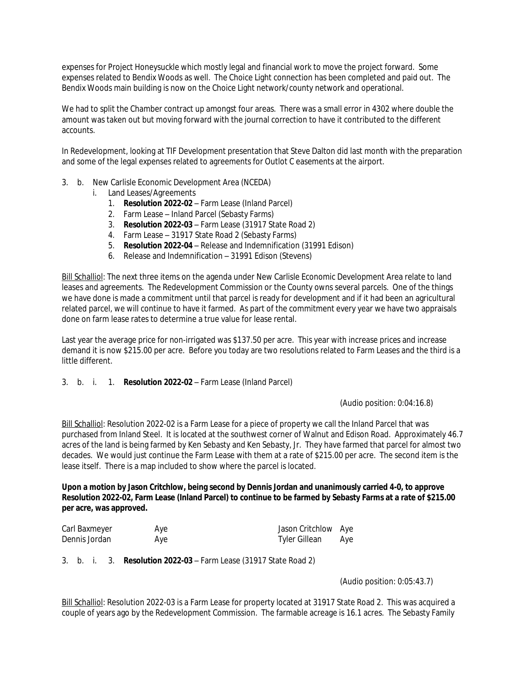expenses for Project Honeysuckle which mostly legal and financial work to move the project forward. Some expenses related to Bendix Woods as well. The Choice Light connection has been completed and paid out. The Bendix Woods main building is now on the Choice Light network/county network and operational.

We had to split the Chamber contract up amongst four areas. There was a small error in 4302 where double the amount was taken out but moving forward with the journal correction to have it contributed to the different accounts.

In Redevelopment, looking at TIF Development presentation that Steve Dalton did last month with the preparation and some of the legal expenses related to agreements for Outlot C easements at the airport.

- 3. b. New Carlisle Economic Development Area (NCEDA)
	- i. Land Leases/Agreements
		- 1. **Resolution 2022-02** Farm Lease (Inland Parcel)
		- 2. Farm Lease Inland Parcel (Sebasty Farms)
		- 3. **Resolution 2022-03** Farm Lease (31917 State Road 2)
		- 4. Farm Lease 31917 State Road 2 (Sebasty Farms)
		- 5. **Resolution 2022-04** Release and Indemnification (31991 Edison)
		- 6. Release and Indemnification 31991 Edison (Stevens)

Bill Schalliol: The next three items on the agenda under New Carlisle Economic Development Area relate to land leases and agreements. The Redevelopment Commission or the County owns several parcels. One of the things we have done is made a commitment until that parcel is ready for development and if it had been an agricultural related parcel, we will continue to have it farmed. As part of the commitment every year we have two appraisals done on farm lease rates to determine a true value for lease rental.

Last year the average price for non-irrigated was \$137.50 per acre. This year with increase prices and increase demand it is now \$215.00 per acre. Before you today are two resolutions related to Farm Leases and the third is a little different.

# 3. b. i. 1. **Resolution 2022-02** – Farm Lease (Inland Parcel)

(Audio position: 0:04:16.8)

Bill Schalliol: Resolution 2022-02 is a Farm Lease for a piece of property we call the Inland Parcel that was purchased from Inland Steel. It is located at the southwest corner of Walnut and Edison Road. Approximately 46.7 acres of the land is being farmed by Ken Sebasty and Ken Sebasty, Jr. They have farmed that parcel for almost two decades. We would just continue the Farm Lease with them at a rate of \$215.00 per acre. The second item is the lease itself. There is a map included to show where the parcel is located.

**Upon a motion by Jason Critchlow, being second by Dennis Jordan and unanimously carried 4-0, to approve Resolution 2022-02, Farm Lease (Inland Parcel) to continue to be farmed by Sebasty Farms at a rate of \$215.00 per acre, was approved.** 

| Carl Baxmeyer | Aye | Jason Critchlow Aye  |     |
|---------------|-----|----------------------|-----|
| Dennis Jordan | Aye | <b>Tyler Gillean</b> | Aye |

3. b. i. 3. **Resolution 2022-03** – Farm Lease (31917 State Road 2)

(Audio position: 0:05:43.7)

Bill Schalliol: Resolution 2022-03 is a Farm Lease for property located at 31917 State Road 2. This was acquired a couple of years ago by the Redevelopment Commission. The farmable acreage is 16.1 acres. The Sebasty Family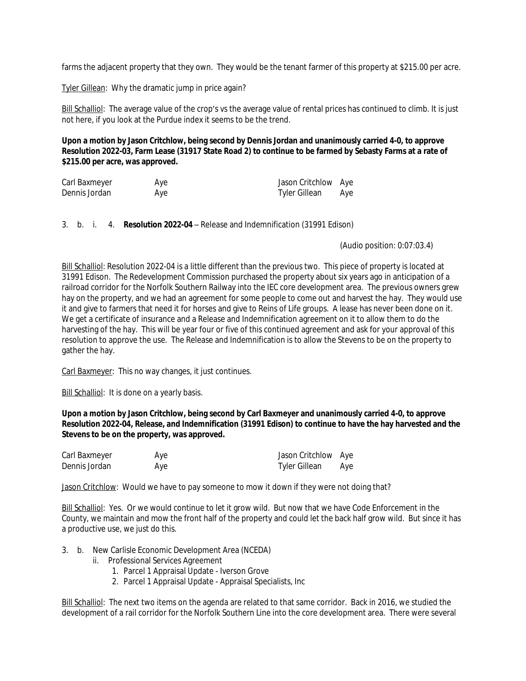farms the adjacent property that they own. They would be the tenant farmer of this property at \$215.00 per acre.

Tyler Gillean: Why the dramatic jump in price again?

Bill Schalliol: The average value of the crop's vs the average value of rental prices has continued to climb. It is just not here, if you look at the Purdue index it seems to be the trend.

**Upon a motion by Jason Critchlow, being second by Dennis Jordan and unanimously carried 4-0, to approve Resolution 2022-03, Farm Lease (31917 State Road 2) to continue to be farmed by Sebasty Farms at a rate of \$215.00 per acre, was approved.**

| Carl Baxmeyer | Aye | Jason Critchlow Aye |     |
|---------------|-----|---------------------|-----|
| Dennis Jordan | Aye | Tyler Gillean       | Aye |

3. b. i. 4. **Resolution 2022-04** – Release and Indemnification (31991 Edison)

(Audio position: 0:07:03.4)

Bill Schalliol: Resolution 2022-04 is a little different than the previous two. This piece of property is located at 31991 Edison. The Redevelopment Commission purchased the property about six years ago in anticipation of a railroad corridor for the Norfolk Southern Railway into the IEC core development area. The previous owners grew hay on the property, and we had an agreement for some people to come out and harvest the hay. They would use it and give to farmers that need it for horses and give to Reins of Life groups. A lease has never been done on it. We get a certificate of insurance and a Release and Indemnification agreement on it to allow them to do the harvesting of the hay. This will be year four or five of this continued agreement and ask for your approval of this resolution to approve the use. The Release and Indemnification is to allow the Stevens to be on the property to gather the hay.

Carl Baxmeyer: This no way changes, it just continues.

Bill Schalliol: It is done on a yearly basis.

**Upon a motion by Jason Critchlow, being second by Carl Baxmeyer and unanimously carried 4-0, to approve Resolution 2022-04, Release, and Indemnification (31991 Edison) to continue to have the hay harvested and the Stevens to be on the property, was approved.** 

| Carl Baxmeyer | Aye | Jason Critchlow Aye  |     |
|---------------|-----|----------------------|-----|
| Dennis Jordan | Aye | <b>Tyler Gillean</b> | Aye |

Jason Critchlow: Would we have to pay someone to mow it down if they were not doing that?

Bill Schalliol: Yes. Or we would continue to let it grow wild. But now that we have Code Enforcement in the County, we maintain and mow the front half of the property and could let the back half grow wild. But since it has a productive use, we just do this.

- 3. b. New Carlisle Economic Development Area (NCEDA)
	- ii. Professional Services Agreement
		- 1. Parcel 1 Appraisal Update Iverson Grove
		- 2. Parcel 1 Appraisal Update Appraisal Specialists, Inc

Bill Schalliol: The next two items on the agenda are related to that same corridor. Back in 2016, we studied the development of a rail corridor for the Norfolk Southern Line into the core development area. There were several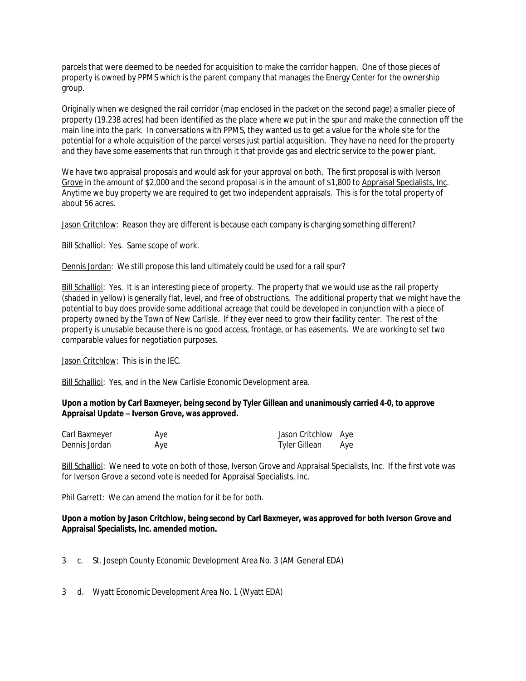parcels that were deemed to be needed for acquisition to make the corridor happen. One of those pieces of property is owned by PPMS which is the parent company that manages the Energy Center for the ownership group.

Originally when we designed the rail corridor (map enclosed in the packet on the second page) a smaller piece of property (19.238 acres) had been identified as the place where we put in the spur and make the connection off the main line into the park. In conversations with PPMS, they wanted us to get a value for the whole site for the potential for a whole acquisition of the parcel verses just partial acquisition. They have no need for the property and they have some easements that run through it that provide gas and electric service to the power plant.

We have two appraisal proposals and would ask for your approval on both. The first proposal is with Iverson Grove in the amount of \$2,000 and the second proposal is in the amount of \$1,800 to Appraisal Specialists, Inc. Anytime we buy property we are required to get two independent appraisals. This is for the total property of about 56 acres.

Jason Critchlow: Reason they are different is because each company is charging something different?

Bill Schalliol: Yes. Same scope of work.

Dennis Jordan: We still propose this land ultimately could be used for a rail spur?

Bill Schalliol: Yes. It is an interesting piece of property. The property that we would use as the rail property (shaded in yellow) is generally flat, level, and free of obstructions. The additional property that we might have the potential to buy does provide some additional acreage that could be developed in conjunction with a piece of property owned by the Town of New Carlisle. If they ever need to grow their facility center. The rest of the property is unusable because there is no good access, frontage, or has easements. We are working to set two comparable values for negotiation purposes.

Jason Critchlow: This is in the IEC.

Bill Schalliol: Yes, and in the New Carlisle Economic Development area.

# **Upon a motion by Carl Baxmeyer, being second by Tyler Gillean and unanimously carried 4-0, to approve Appraisal Update – Iverson Grove, was approved.**

| Carl Baxmeyer | Aye | Jason Critchlow Aye |     |
|---------------|-----|---------------------|-----|
| Dennis Jordan | Aye | Tyler Gillean       | Aye |

Bill Schalliol: We need to vote on both of those, Iverson Grove and Appraisal Specialists, Inc. If the first vote was for Iverson Grove a second vote is needed for Appraisal Specialists, Inc.

Phil Garrett: We can amend the motion for it be for both.

# **Upon a motion by Jason Critchlow, being second by Carl Baxmeyer, was approved for both Iverson Grove and Appraisal Specialists, Inc. amended motion.**

3 c. St. Joseph County Economic Development Area No. 3 (AM General EDA)

3 d. Wyatt Economic Development Area No. 1 (Wyatt EDA)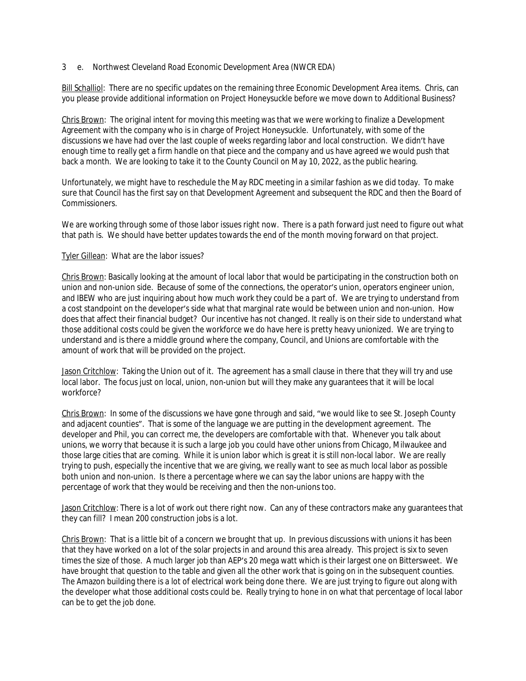# 3 e. Northwest Cleveland Road Economic Development Area (NWCR EDA)

Bill Schalliol: There are no specific updates on the remaining three Economic Development Area items. Chris, can you please provide additional information on Project Honeysuckle before we move down to Additional Business?

Chris Brown: The original intent for moving this meeting was that we were working to finalize a Development Agreement with the company who is in charge of Project Honeysuckle. Unfortunately, with some of the discussions we have had over the last couple of weeks regarding labor and local construction. We didn't have enough time to really get a firm handle on that piece and the company and us have agreed we would push that back a month. We are looking to take it to the County Council on May 10, 2022, as the public hearing.

Unfortunately, we might have to reschedule the May RDC meeting in a similar fashion as we did today. To make sure that Council has the first say on that Development Agreement and subsequent the RDC and then the Board of Commissioners.

We are working through some of those labor issues right now. There is a path forward just need to figure out what that path is. We should have better updates towards the end of the month moving forward on that project.

# Tyler Gillean: What are the labor issues?

Chris Brown: Basically looking at the amount of local labor that would be participating in the construction both on union and non-union side. Because of some of the connections, the operator's union, operators engineer union, and IBEW who are just inquiring about how much work they could be a part of. We are trying to understand from a cost standpoint on the developer's side what that marginal rate would be between union and non-union. How does that affect their financial budget? Our incentive has not changed. It really is on their side to understand what those additional costs could be given the workforce we do have here is pretty heavy unionized. We are trying to understand and is there a middle ground where the company, Council, and Unions are comfortable with the amount of work that will be provided on the project.

Jason Critchlow: Taking the Union out of it. The agreement has a small clause in there that they will try and use local labor. The focus just on local, union, non-union but will they make any guarantees that it will be local workforce?

Chris Brown: In some of the discussions we have gone through and said, "we would like to see St. Joseph County and adjacent counties". That is some of the language we are putting in the development agreement. The developer and Phil, you can correct me, the developers are comfortable with that. Whenever you talk about unions, we worry that because it is such a large job you could have other unions from Chicago, Milwaukee and those large cities that are coming. While it is union labor which is great it is still non-local labor. We are really trying to push, especially the incentive that we are giving, we really want to see as much local labor as possible both union and non-union. Is there a percentage where we can say the labor unions are happy with the percentage of work that they would be receiving and then the non-unions too.

Jason Critchlow: There is a lot of work out there right now. Can any of these contractors make any guarantees that they can fill? I mean 200 construction jobs is a lot.

Chris Brown: That is a little bit of a concern we brought that up. In previous discussions with unions it has been that they have worked on a lot of the solar projects in and around this area already. This project is six to seven times the size of those. A much larger job than AEP's 20 mega watt which is their largest one on Bittersweet. We have brought that question to the table and given all the other work that is going on in the subsequent counties. The Amazon building there is a lot of electrical work being done there. We are just trying to figure out along with the developer what those additional costs could be. Really trying to hone in on what that percentage of local labor can be to get the job done.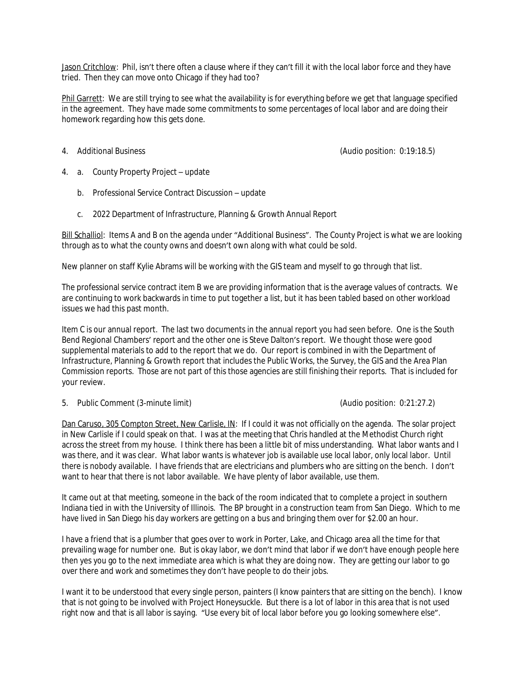Jason Critchlow: Phil, isn't there often a clause where if they can't fill it with the local labor force and they have tried. Then they can move onto Chicago if they had too?

Phil Garrett: We are still trying to see what the availability is for everything before we get that language specified in the agreement. They have made some commitments to some percentages of local labor and are doing their homework regarding how this gets done.

4. Additional Business (Audio position: 0:19:18.5)

- 4. a. County Property Project update
	- b. Professional Service Contract Discussion update
	- c. 2022 Department of Infrastructure, Planning & Growth Annual Report

Bill Schalliol: Items A and B on the agenda under "Additional Business". The County Project is what we are looking through as to what the county owns and doesn't own along with what could be sold.

New planner on staff Kylie Abrams will be working with the GIS team and myself to go through that list.

The professional service contract item B we are providing information that is the average values of contracts. We are continuing to work backwards in time to put together a list, but it has been tabled based on other workload issues we had this past month.

Item C is our annual report. The last two documents in the annual report you had seen before. One is the South Bend Regional Chambers' report and the other one is Steve Dalton's report. We thought those were good supplemental materials to add to the report that we do. Our report is combined in with the Department of Infrastructure, Planning & Growth report that includes the Public Works, the Survey, the GIS and the Area Plan Commission reports. Those are not part of this those agencies are still finishing their reports. That is included for your review.

# 5. Public Comment (3-minute limit) (Audio position: 0:21:27.2)

Dan Caruso, 305 Compton Street, New Carlisle, IN: If I could it was not officially on the agenda. The solar project in New Carlisle if I could speak on that. I was at the meeting that Chris handled at the Methodist Church right across the street from my house. I think there has been a little bit of miss understanding. What labor wants and I was there, and it was clear. What labor wants is whatever job is available use local labor, only local labor. Until there is nobody available. I have friends that are electricians and plumbers who are sitting on the bench. I don't want to hear that there is not labor available. We have plenty of labor available, use them.

It came out at that meeting, someone in the back of the room indicated that to complete a project in southern Indiana tied in with the University of Illinois. The BP brought in a construction team from San Diego. Which to me have lived in San Diego his day workers are getting on a bus and bringing them over for \$2.00 an hour.

I have a friend that is a plumber that goes over to work in Porter, Lake, and Chicago area all the time for that prevailing wage for number one. But is okay labor, we don't mind that labor if we don't have enough people here then yes you go to the next immediate area which is what they are doing now. They are getting our labor to go over there and work and sometimes they don't have people to do their jobs.

I want it to be understood that every single person, painters (I know painters that are sitting on the bench). I know that is not going to be involved with Project Honeysuckle. But there is a lot of labor in this area that is not used right now and that is all labor is saying. "Use every bit of local labor before you go looking somewhere else".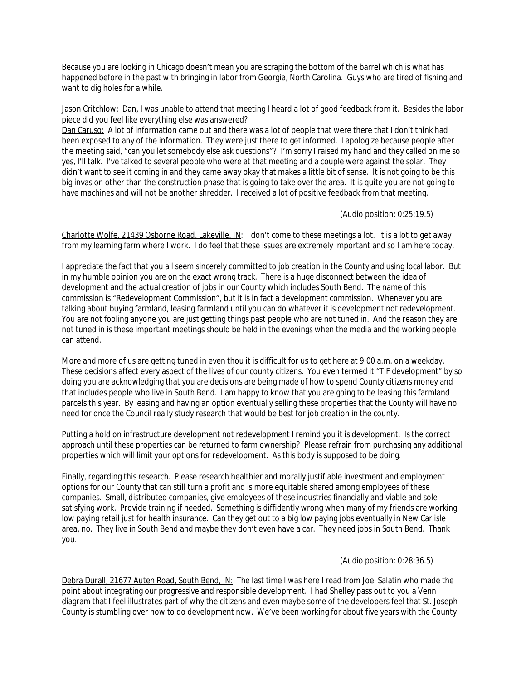Because you are looking in Chicago doesn't mean you are scraping the bottom of the barrel which is what has happened before in the past with bringing in labor from Georgia, North Carolina. Guys who are tired of fishing and want to dig holes for a while.

Jason Critchlow: Dan, I was unable to attend that meeting I heard a lot of good feedback from it. Besides the labor piece did you feel like everything else was answered?

Dan Caruso: A lot of information came out and there was a lot of people that were there that I don't think had been exposed to any of the information. They were just there to get informed. I apologize because people after the meeting said, "can you let somebody else ask questions"? I'm sorry I raised my hand and they called on me so yes, I'll talk. I've talked to several people who were at that meeting and a couple were against the solar. They didn't want to see it coming in and they came away okay that makes a little bit of sense. It is not going to be this big invasion other than the construction phase that is going to take over the area. It is quite you are not going to have machines and will not be another shredder. I received a lot of positive feedback from that meeting.

(Audio position: 0:25:19.5)

Charlotte Wolfe, 21439 Osborne Road, Lakeville, IN: I don't come to these meetings a lot. It is a lot to get away from my learning farm where I work. I do feel that these issues are extremely important and so I am here today.

I appreciate the fact that you all seem sincerely committed to job creation in the County and using local labor. But in my humble opinion you are on the exact wrong track. There is a huge disconnect between the idea of development and the actual creation of jobs in our County which includes South Bend. The name of this commission is "Redevelopment Commission", but it is in fact a development commission. Whenever you are talking about buying farmland, leasing farmland until you can do whatever it is development not redevelopment. You are not fooling anyone you are just getting things past people who are not tuned in. And the reason they are not tuned in is these important meetings should be held in the evenings when the media and the working people can attend.

More and more of us are getting tuned in even thou it is difficult for us to get here at 9:00 a.m. on a weekday. These decisions affect every aspect of the lives of our county citizens. You even termed it "TIF development" by so doing you are acknowledging that you are decisions are being made of how to spend County citizens money and that includes people who live in South Bend. I am happy to know that you are going to be leasing this farmland parcels this year. By leasing and having an option eventually selling these properties that the County will have no need for once the Council really study research that would be best for job creation in the county.

Putting a hold on infrastructure development not redevelopment I remind you it is development. Is the correct approach until these properties can be returned to farm ownership? Please refrain from purchasing any additional properties which will limit your options for redevelopment. As this body is supposed to be doing.

Finally, regarding this research. Please research healthier and morally justifiable investment and employment options for our County that can still turn a profit and is more equitable shared among employees of these companies. Small, distributed companies, give employees of these industries financially and viable and sole satisfying work. Provide training if needed. Something is diffidently wrong when many of my friends are working low paying retail just for health insurance. Can they get out to a big low paying jobs eventually in New Carlisle area, no. They live in South Bend and maybe they don't even have a car. They need jobs in South Bend. Thank you.

# (Audio position: 0:28:36.5)

Debra Durall, 21677 Auten Road, South Bend, IN: The last time I was here I read from Joel Salatin who made the point about integrating our progressive and responsible development. I had Shelley pass out to you a Venn diagram that I feel illustrates part of why the citizens and even maybe some of the developers feel that St. Joseph County is stumbling over how to do development now. We've been working for about five years with the County